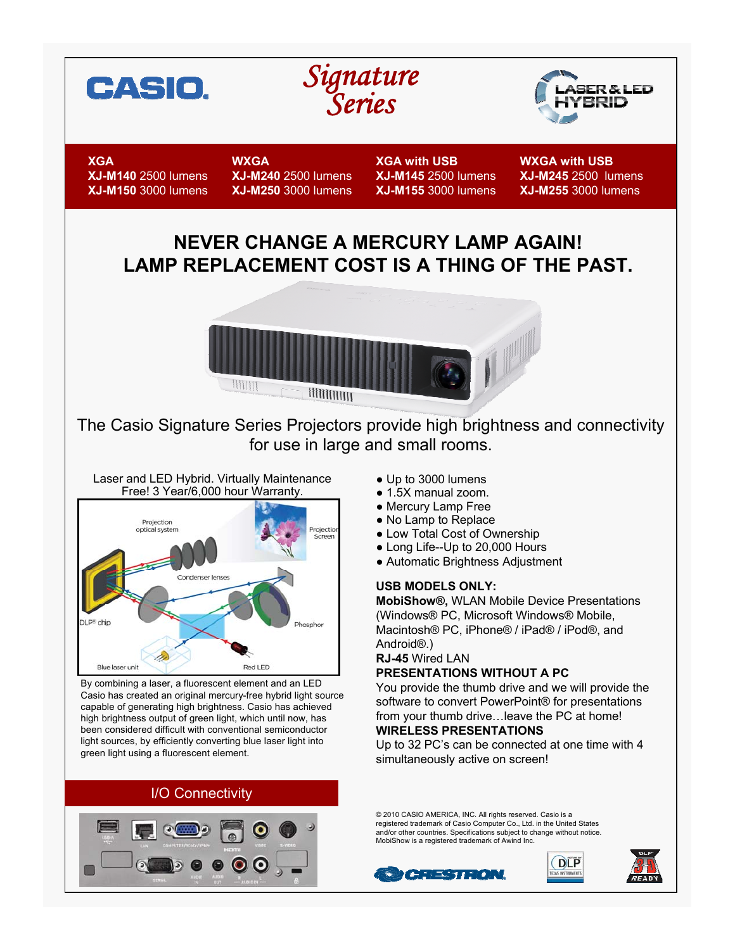





**XGA XJ-M140** 2500 lumens **XJ-M150** 3000 lumens **WXGA XJ-M240** 2500 lumens **XJ-M250** 3000 lumens **XGA with USB XJ-M145** 2500 lumens **XJ-M155** 3000 lumens **WXGA with USB XJ-M245** 2500 lumens **XJ-M255** 3000 lumens

# **NEVER CHANGE A MERCURY LAMP AGAIN! LAMP REPLACEMENT COST IS A THING OF THE PAST.**



The Casio Signature Series Projectors provide high brightness and connectivity for use in large and small rooms.



By combining a laser, a fluorescent element and an LED Casio has created an original mercury-free hybrid light source capable of generating high brightness. Casio has achieved high brightness output of green light, which until now, has been considered difficult with conventional semiconductor light sources, by efficiently converting blue laser light into green light using a fluorescent element.

## I/O Connectivity



- Up to 3000 lumens
- 1.5X manual zoom.
- Mercury Lamp Free
- No Lamp to Replace
- Low Total Cost of Ownership
- Long Life--Up to 20,000 Hours
- Automatic Brightness Adjustment

#### **USB MODELS ONLY:**

**MobiShow®,** WLAN Mobile Device Presentations (Windows® PC, Microsoft Windows® Mobile, Macintosh® PC, iPhone® / iPad® / iPod®, and Android®.)

#### **RJ-45** Wired LAN

### **PRESENTATIONS WITHOUT A PC**

You provide the thumb drive and we will provide the software to convert PowerPoint® for presentations from your thumb drive…leave the PC at home! **WIRELESS PRESENTATIONS**

Up to 32 PC's can be connected at one time with 4 simultaneously active on screen!

© 2010 CASIO AMERICA, INC. All rights reserved. Casio is a registered trademark of Casio Computer Co., Ltd. in the United States and/or other countries. Specifications subject to change without notice. MobiShow is a registered trademark of Awind Inc.

**CRESTRON**